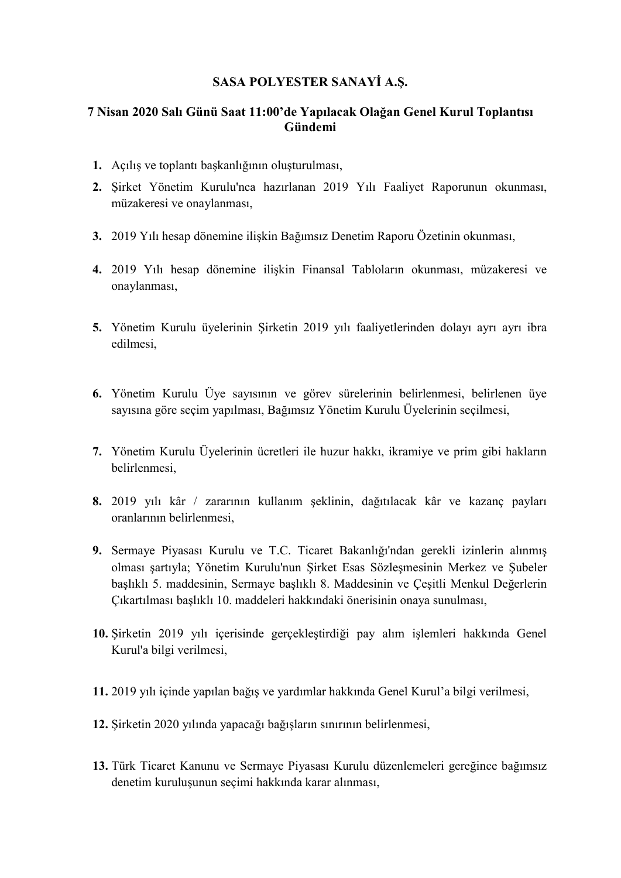## SASA POLYESTER SANAYİ A.Ş.

## 7 Nisan 2020 Salı Günü Saat 11:00'de Yapılacak Olağan Genel Kurul Toplantısı Gündemi

- 1. Açılış ve toplantı başkanlığının oluşturulması,
- 2. Şirket Yönetim Kurulu'nca hazırlanan 2019 Yılı Faaliyet Raporunun okunması, müzakeresi ve onaylanması,
- 3. 2019 Yılı hesap dönemine ilişkin Bağımsız Denetim Raporu Özetinin okunması,
- 4. 2019 Yılı hesap dönemine ilişkin Finansal Tabloların okunması, müzakeresi ve onaylanması,
- 5. Yönetim Kurulu üyelerinin Şirketin 2019 yılı faaliyetlerinden dolayı ayrı ayrı ibra edilmesi,
- 6. Yönetim Kurulu Üye sayısının ve görev sürelerinin belirlenmesi, belirlenen üye sayısına göre seçim yapılması, Bağımsız Yönetim Kurulu Üyelerinin seçilmesi,
- 7. Yönetim Kurulu Üyelerinin ücretleri ile huzur hakkı, ikramiye ve prim gibi hakların belirlenmesi,
- 8. 2019 yılı kâr / zararının kullanım şeklinin, dağıtılacak kâr ve kazanç payları oranlarının belirlenmesi,
- 9. Sermaye Piyasası Kurulu ve T.C. Ticaret Bakanlığı'ndan gerekli izinlerin alınmış olması şartıyla; Yönetim Kurulu'nun Şirket Esas Sözleşmesinin Merkez ve Şubeler başlıklı 5. maddesinin, Sermaye başlıklı 8. Maddesinin ve Çeşitli Menkul Değerlerin Çıkartılması başlıklı 10. maddeleri hakkındaki önerisinin onaya sunulması,
- 10. Şirketin 2019 yılı içerisinde gerçekleştirdiği pay alım işlemleri hakkında Genel Kurul'a bilgi verilmesi,
- 11. 2019 yılı içinde yapılan bağış ve yardımlar hakkında Genel Kurul'a bilgi verilmesi,
- 12. Şirketin 2020 yılında yapacağı bağışların sınırının belirlenmesi,
- 13. Türk Ticaret Kanunu ve Sermaye Piyasası Kurulu düzenlemeleri gereğince bağımsız denetim kuruluşunun seçimi hakkında karar alınması,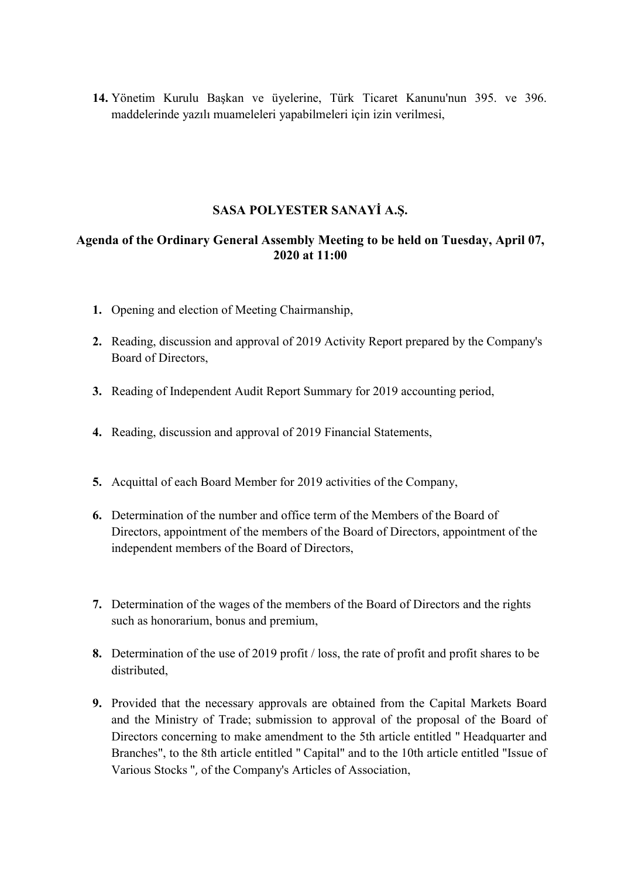14. Yönetim Kurulu Başkan ve üyelerine, Türk Ticaret Kanunu'nun 395. ve 396. maddelerinde yazılı muameleleri yapabilmeleri için izin verilmesi,

## SASA POLYESTER SANAYİ A.Ş.

## Agenda of the Ordinary General Assembly Meeting to be held on Tuesday, April 07, 2020 at 11:00

- 1. Opening and election of Meeting Chairmanship,
- 2. Reading, discussion and approval of 2019 Activity Report prepared by the Company's Board of Directors,
- 3. Reading of Independent Audit Report Summary for 2019 accounting period,
- 4. Reading, discussion and approval of 2019 Financial Statements,
- 5. Acquittal of each Board Member for 2019 activities of the Company,
- 6. Determination of the number and office term of the Members of the Board of Directors, appointment of the members of the Board of Directors, appointment of the independent members of the Board of Directors,
- 7. Determination of the wages of the members of the Board of Directors and the rights such as honorarium, bonus and premium,
- 8. Determination of the use of 2019 profit / loss, the rate of profit and profit shares to be distributed,
- 9. Provided that the necessary approvals are obtained from the Capital Markets Board and the Ministry of Trade; submission to approval of the proposal of the Board of Directors concerning to make amendment to the 5th article entitled " Headquarter and Branches", to the 8th article entitled " Capital" and to the 10th article entitled "Issue of Various Stocks ", of the Company's Articles of Association,